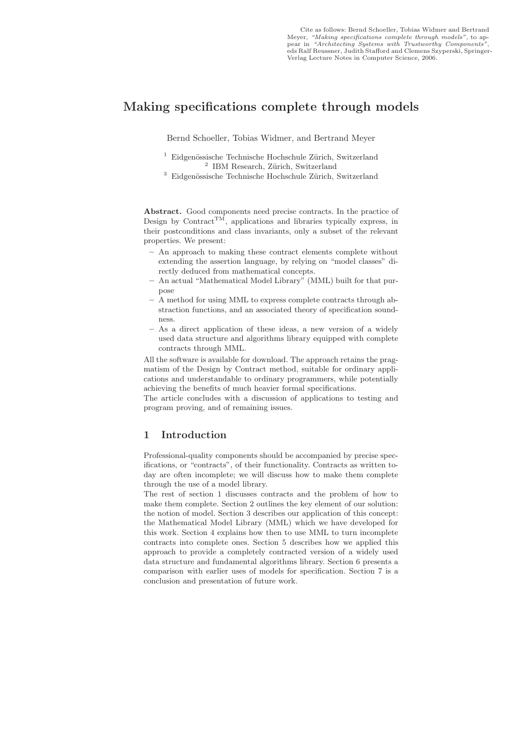Cite as follows: Bernd Schoeller, Tobias Widmer and Bertrand Meyer, "Making specifications complete through models", to appear in "Architecting Systems with Trustworthy Components", eds Ralf Reussner, Judith Stafford and Clemens Szyperski, Springer-Verlag Lecture Notes in Computer Science, 2006.

# Making specifications complete through models

Bernd Schoeller, Tobias Widmer, and Bertrand Meyer

- $1$  Eidgenössische Technische Hochschule Zürich, Switzerland <sup>2</sup> IBM Research, Zürich, Switzerland
- $3$  Eidgenössische Technische Hochschule Zürich, Switzerland

Abstract. Good components need precise contracts. In the practice of Design by  $Contract^{TM}$ , applications and libraries typically express, in their postconditions and class invariants, only a subset of the relevant properties. We present:

- An approach to making these contract elements complete without extending the assertion language, by relying on "model classes" directly deduced from mathematical concepts.
- An actual "Mathematical Model Library" (MML) built for that purpose
- A method for using MML to express complete contracts through abstraction functions, and an associated theory of specification soundness.
- As a direct application of these ideas, a new version of a widely used data structure and algorithms library equipped with complete contracts through MML.

All the software is available for download. The approach retains the pragmatism of the Design by Contract method, suitable for ordinary applications and understandable to ordinary programmers, while potentially achieving the benefits of much heavier formal specifications.

The article concludes with a discussion of applications to testing and program proving, and of remaining issues.

## 1 Introduction

Professional-quality components should be accompanied by precise specifications, or "contracts", of their functionality. Contracts as written today are often incomplete; we will discuss how to make them complete through the use of a model library.

The rest of section 1 discusses contracts and the problem of how to make them complete. Section 2 outlines the key element of our solution: the notion of model. Section 3 describes our application of this concept: the Mathematical Model Library (MML) which we have developed for this work. Section 4 explains how then to use MML to turn incomplete contracts into complete ones. Section 5 describes how we applied this approach to provide a completely contracted version of a widely used data structure and fundamental algorithms library. Section 6 presents a comparison with earlier uses of models for specification. Section 7 is a conclusion and presentation of future work.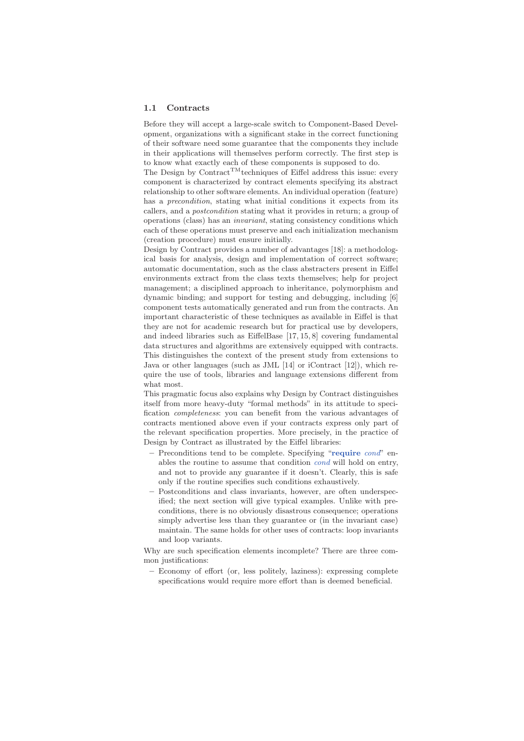#### 1.1 Contracts

Before they will accept a large-scale switch to Component-Based Development, organizations with a significant stake in the correct functioning of their software need some guarantee that the components they include in their applications will themselves perform correctly. The first step is to know what exactly each of these components is supposed to do.

The Design by  $\text{Contract}^{\text{TM}}$  techniques of Eiffel address this issue: every component is characterized by contract elements specifying its abstract relationship to other software elements. An individual operation (feature) has a precondition, stating what initial conditions it expects from its callers, and a postcondition stating what it provides in return; a group of operations (class) has an invariant, stating consistency conditions which each of these operations must preserve and each initialization mechanism (creation procedure) must ensure initially.

Design by Contract provides a number of advantages [18]: a methodological basis for analysis, design and implementation of correct software; automatic documentation, such as the class abstracters present in Eiffel environments extract from the class texts themselves; help for project management; a disciplined approach to inheritance, polymorphism and dynamic binding; and support for testing and debugging, including [6] component tests automatically generated and run from the contracts. An important characteristic of these techniques as available in Eiffel is that they are not for academic research but for practical use by developers, and indeed libraries such as EiffelBase [17, 15, 8] covering fundamental data structures and algorithms are extensively equipped with contracts. This distinguishes the context of the present study from extensions to Java or other languages (such as JML [14] or iContract [12]), which require the use of tools, libraries and language extensions different from what most.

This pragmatic focus also explains why Design by Contract distinguishes itself from more heavy-duty "formal methods" in its attitude to specification completeness: you can benefit from the various advantages of contracts mentioned above even if your contracts express only part of the relevant specification properties. More precisely, in the practice of Design by Contract as illustrated by the Eiffel libraries:

- Preconditions tend to be complete. Specifying "require cond" enables the routine to assume that condition cond will hold on entry, and not to provide any guarantee if it doesn't. Clearly, this is safe only if the routine specifies such conditions exhaustively.
- Postconditions and class invariants, however, are often underspecified; the next section will give typical examples. Unlike with preconditions, there is no obviously disastrous consequence; operations simply advertise less than they guarantee or (in the invariant case) maintain. The same holds for other uses of contracts: loop invariants and loop variants.

Why are such specification elements incomplete? There are three common justifications:

– Economy of effort (or, less politely, laziness): expressing complete specifications would require more effort than is deemed beneficial.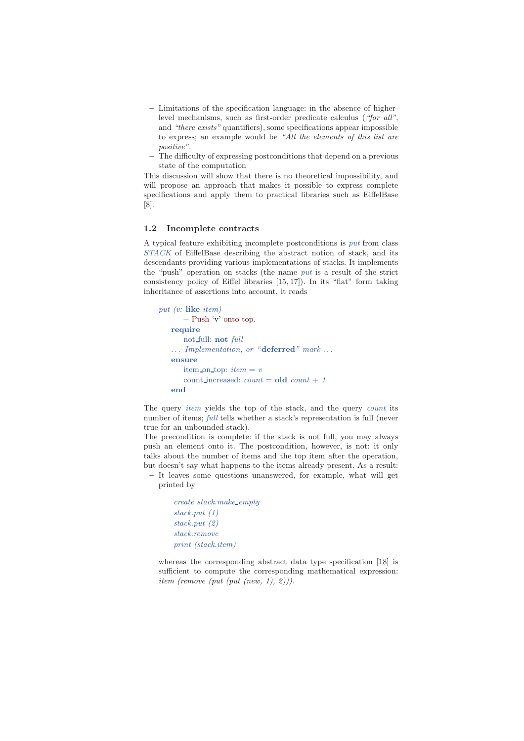- Limitations of the specification language: in the absence of higherlevel mechanisms, such as first-order predicate calculus ("for all", and "there exists" quantifiers), some specifications appear impossible to express; an example would be "All the elements of this list are positive".
- The difficulty of expressing postconditions that depend on a previous state of the computation

This discussion will show that there is no theoretical impossibility, and will propose an approach that makes it possible to express complete specifications and apply them to practical libraries such as EiffelBase [8].

#### 1.2 Incomplete contracts

A typical feature exhibiting incomplete postconditions is put from class STACK of EiffelBase describing the abstract notion of stack, and its descendants providing various implementations of stacks. It implements the "push" operation on stacks (the name put is a result of the strict consistency policy of Eiffel libraries [15, 17]). In its "flat" form taking inheritance of assertions into account, it reads

```
put (v: like item)
      -- Push 'v' onto top.
   require
       not full: not full
   ... Implementation, or "deferred" mark ...
   ensure
      item on top: item = vcount increased: count = old count + 1end
```
The query *item* yields the top of the stack, and the query *count* its number of items; *full* tells whether a stack's representation is full (never true for an unbounded stack).

The precondition is complete: if the stack is not full, you may always push an element onto it. The postcondition, however, is not: it only talks about the number of items and the top item after the operation, but doesn't say what happens to the items already present. As a result:

– It leaves some questions unanswered, for example, what will get printed by

create stack.make empty stack.put (1) stack.put (2) stack.remove print (stack.item)

whereas the corresponding abstract data type specification [18] is sufficient to compute the corresponding mathematical expression: item (remove (put (put (new, 1), 2))).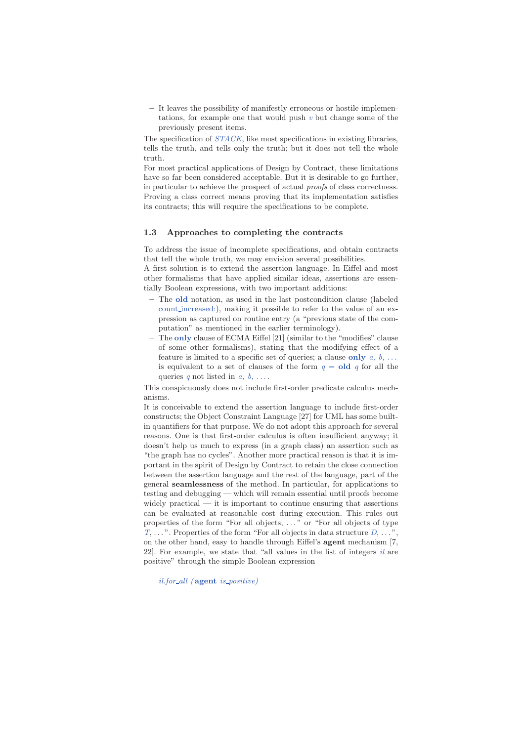– It leaves the possibility of manifestly erroneous or hostile implementations, for example one that would push  $v$  but change some of the previously present items.

The specification of *STACK*, like most specifications in existing libraries, tells the truth, and tells only the truth; but it does not tell the whole truth.

For most practical applications of Design by Contract, these limitations have so far been considered acceptable. But it is desirable to go further, in particular to achieve the prospect of actual proofs of class correctness. Proving a class correct means proving that its implementation satisfies its contracts; this will require the specifications to be complete.

#### 1.3 Approaches to completing the contracts

To address the issue of incomplete specifications, and obtain contracts that tell the whole truth, we may envision several possibilities.

A first solution is to extend the assertion language. In Eiffel and most other formalisms that have applied similar ideas, assertions are essentially Boolean expressions, with two important additions:

- The old notation, as used in the last postcondition clause (labeled count increased:), making it possible to refer to the value of an expression as captured on routine entry (a "previous state of the computation" as mentioned in the earlier terminology).
- The only clause of ECMA Eiffel [21] (similar to the "modifies" clause of some other formalisms), stating that the modifying effect of a feature is limited to a specific set of queries; a clause only  $a, b, \ldots$ is equivalent to a set of clauses of the form  $q = old q$  for all the queries q not listed in  $a, b, \ldots$ .

This conspicuously does not include first-order predicate calculus mechanisms.

It is conceivable to extend the assertion language to include first-order constructs; the Object Constraint Language [27] for UML has some builtin quantifiers for that purpose. We do not adopt this approach for several reasons. One is that first-order calculus is often insufficient anyway; it doesn't help us much to express (in a graph class) an assertion such as "the graph has no cycles". Another more practical reason is that it is important in the spirit of Design by Contract to retain the close connection between the assertion language and the rest of the language, part of the general seamlessness of the method. In particular, for applications to testing and debugging — which will remain essential until proofs become widely practical — it is important to continue ensuring that assertions can be evaluated at reasonable cost during execution. This rules out properties of the form "For all objects, . . . " or "For all objects of type  $T, \ldots$ ". Properties of the form "For all objects in data structure  $D, \ldots$ ", on the other hand, easy to handle through Eiffel's agent mechanism [7, 22]. For example, we state that "all values in the list of integers  $il$  are positive" through the simple Boolean expression

il.for\_all (agent is\_positive)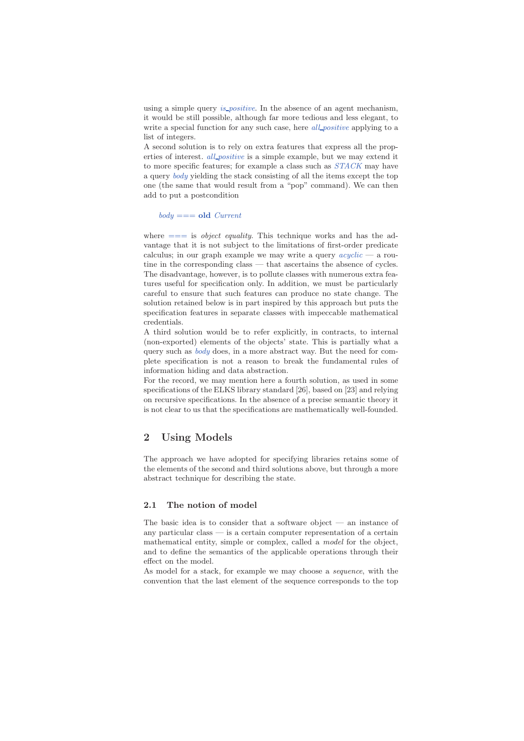using a simple query *is positive*. In the absence of an agent mechanism, it would be still possible, although far more tedious and less elegant, to write a special function for any such case, here *all\_positive* applying to a list of integers.

A second solution is to rely on extra features that express all the properties of interest. all\_positive is a simple example, but we may extend it to more specific features; for example a class such as STACK may have a query body yielding the stack consisting of all the items except the top one (the same that would result from a "pop" command). We can then add to put a postcondition

#### $body ==$  old *Current*

where  $==$  is *object equality*. This technique works and has the advantage that it is not subject to the limitations of first-order predicate calculus; in our graph example we may write a query  $\alpha$  *cyclic* — a routine in the corresponding class — that ascertains the absence of cycles. The disadvantage, however, is to pollute classes with numerous extra features useful for specification only. In addition, we must be particularly careful to ensure that such features can produce no state change. The solution retained below is in part inspired by this approach but puts the specification features in separate classes with impeccable mathematical credentials.

A third solution would be to refer explicitly, in contracts, to internal (non-exported) elements of the objects' state. This is partially what a query such as body does, in a more abstract way. But the need for complete specification is not a reason to break the fundamental rules of information hiding and data abstraction.

For the record, we may mention here a fourth solution, as used in some specifications of the ELKS library standard [26], based on [23] and relying on recursive specifications. In the absence of a precise semantic theory it is not clear to us that the specifications are mathematically well-founded.

## 2 Using Models

The approach we have adopted for specifying libraries retains some of the elements of the second and third solutions above, but through a more abstract technique for describing the state.

## 2.1 The notion of model

The basic idea is to consider that a software object — an instance of any particular class — is a certain computer representation of a certain mathematical entity, simple or complex, called a model for the object, and to define the semantics of the applicable operations through their effect on the model.

As model for a stack, for example we may choose a sequence, with the convention that the last element of the sequence corresponds to the top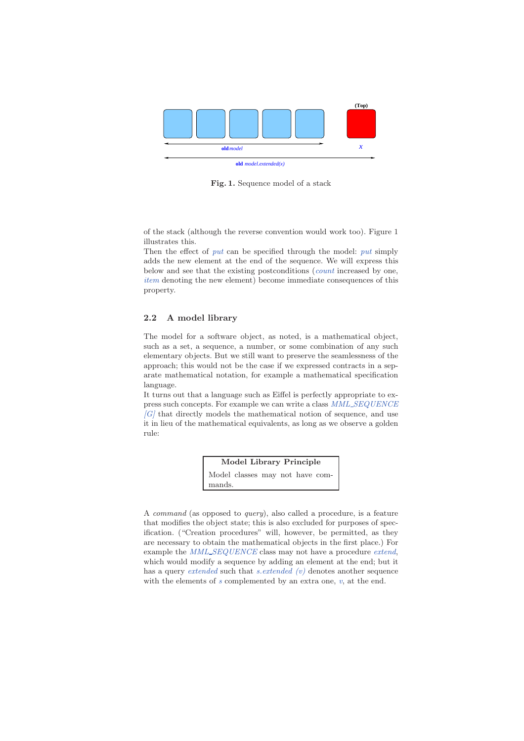

Fig. 1. Sequence model of a stack

of the stack (although the reverse convention would work too). Figure 1 illustrates this.

Then the effect of put can be specified through the model: put simply adds the new element at the end of the sequence. We will express this below and see that the existing postconditions (*count* increased by one, item denoting the new element) become immediate consequences of this property.

#### 2.2 A model library

The model for a software object, as noted, is a mathematical object, such as a set, a sequence, a number, or some combination of any such elementary objects. But we still want to preserve the seamlessness of the approach; this would not be the case if we expressed contracts in a separate mathematical notation, for example a mathematical specification language.

It turns out that a language such as Eiffel is perfectly appropriate to express such concepts. For example we can write a class  $MML\_SEQUENCE$  $|G|$  that directly models the mathematical notion of sequence, and use it in lieu of the mathematical equivalents, as long as we observe a golden rule:

> Model Library Principle Model classes may not have commands.

A command (as opposed to query), also called a procedure, is a feature that modifies the object state; this is also excluded for purposes of specification. ("Creation procedures" will, however, be permitted, as they are necessary to obtain the mathematical objects in the first place.) For example the  $MML\_SEQUENCE$  class may not have a procedure extend, which would modify a sequence by adding an element at the end; but it has a query *extended* such that *s.extended* (v) denotes another sequence with the elements of  $s$  complemented by an extra one,  $v$ , at the end.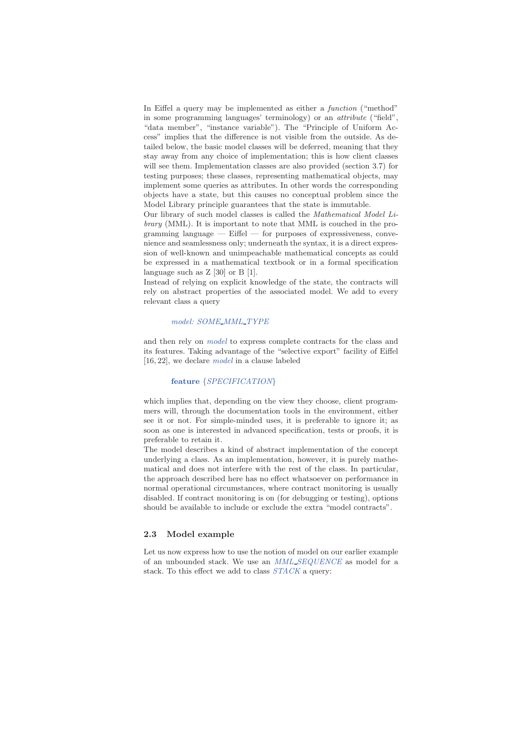In Eiffel a query may be implemented as either a function ("method" in some programming languages' terminology) or an attribute ("field", "data member", "instance variable"). The "Principle of Uniform Access" implies that the difference is not visible from the outside. As detailed below, the basic model classes will be deferred, meaning that they stay away from any choice of implementation; this is how client classes will see them. Implementation classes are also provided (section 3.7) for testing purposes; these classes, representing mathematical objects, may implement some queries as attributes. In other words the corresponding objects have a state, but this causes no conceptual problem since the Model Library principle guarantees that the state is immutable.

Our library of such model classes is called the Mathematical Model Library (MML). It is important to note that MML is couched in the pro- $\gamma$ gramming language — Eiffel — for purposes of expressiveness, convenience and seamlessness only; underneath the syntax, it is a direct expression of well-known and unimpeachable mathematical concepts as could be expressed in a mathematical textbook or in a formal specification language such as Z [30] or B [1].

Instead of relying on explicit knowledge of the state, the contracts will rely on abstract properties of the associated model. We add to every relevant class a query

### model: SOME MML TYPE

and then rely on model to express complete contracts for the class and its features. Taking advantage of the "selective export" facility of Eiffel [16, 22], we declare model in a clause labeled

### feature {SPECIFICATION}

which implies that, depending on the view they choose, client programmers will, through the documentation tools in the environment, either see it or not. For simple-minded uses, it is preferable to ignore it; as soon as one is interested in advanced specification, tests or proofs, it is preferable to retain it.

The model describes a kind of abstract implementation of the concept underlying a class. As an implementation, however, it is purely mathematical and does not interfere with the rest of the class. In particular, the approach described here has no effect whatsoever on performance in normal operational circumstances, where contract monitoring is usually disabled. If contract monitoring is on (for debugging or testing), options should be available to include or exclude the extra "model contracts".

## 2.3 Model example

Let us now express how to use the notion of model on our earlier example of an unbounded stack. We use an MML SEQUENCE as model for a stack. To this effect we add to class STACK a query: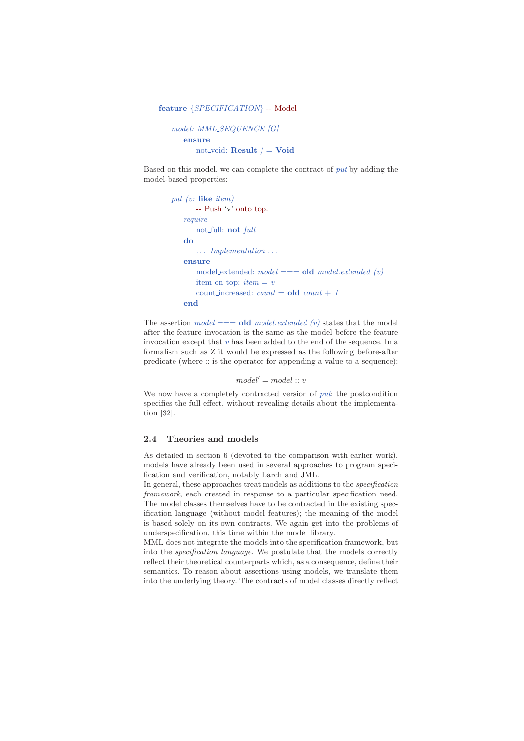#### feature {SPECIFICATION} -- Model

```
model: MML SEQUENCE [G]
  ensure
     not void: Result / = Void
```
Based on this model, we can complete the contract of put by adding the model-based properties:

```
put (v: like item)
      -- Push 'v' onto top.
   require
      not full: not full
   do
      \ldots Implementation \ldotsensure
      model_extended: model == old model.extended (v)
      item on top: item = vcount increased: count = old count + 1end
```
The assertion model  $==$  old model. extended (v) states that the model after the feature invocation is the same as the model before the feature invocation except that  $v$  has been added to the end of the sequence. In a formalism such as Z it would be expressed as the following before-after predicate (where :: is the operator for appending a value to a sequence):

## $model' = model :: v$

We now have a completely contracted version of  $put$ : the postcondition specifies the full effect, without revealing details about the implementation [32].

## 2.4 Theories and models

As detailed in section 6 (devoted to the comparison with earlier work), models have already been used in several approaches to program specification and verification, notably Larch and JML.

In general, these approaches treat models as additions to the specification framework, each created in response to a particular specification need. The model classes themselves have to be contracted in the existing specification language (without model features); the meaning of the model is based solely on its own contracts. We again get into the problems of underspecification, this time within the model library.

MML does not integrate the models into the specification framework, but into the specification language. We postulate that the models correctly reflect their theoretical counterparts which, as a consequence, define their semantics. To reason about assertions using models, we translate them into the underlying theory. The contracts of model classes directly reflect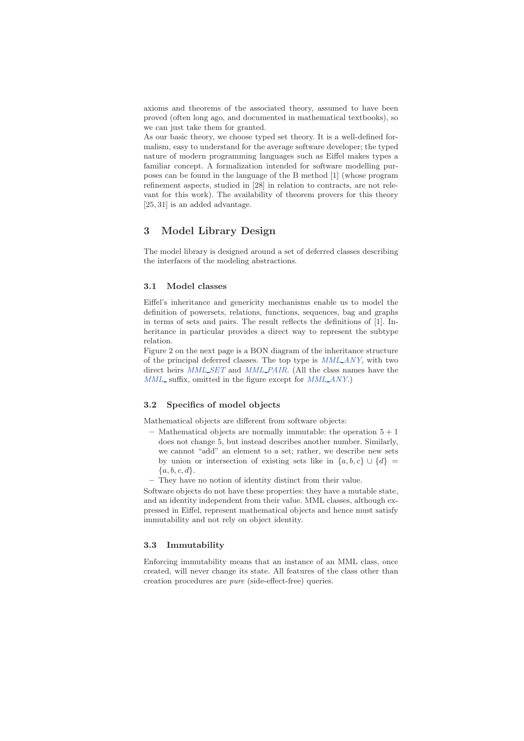axioms and theorems of the associated theory, assumed to have been proved (often long ago, and documented in mathematical textbooks), so we can just take them for granted.

As our basic theory, we choose typed set theory. It is a well-defined formalism, easy to understand for the average software developer; the typed nature of modern programming languages such as Eiffel makes types a familiar concept. A formalization intended for software modelling purposes can be found in the language of the B method [1] (whose program refinement aspects, studied in [28] in relation to contracts, are not relevant for this work). The availability of theorem provers for this theory [25, 31] is an added advantage.

# 3 Model Library Design

The model library is designed around a set of deferred classes describing the interfaces of the modeling abstractions.

#### 3.1 Model classes

Eiffel's inheritance and genericity mechanisms enable us to model the definition of powersets, relations, functions, sequences, bag and graphs in terms of sets and pairs. The result reflects the definitions of [1]. Inheritance in particular provides a direct way to represent the subtype relation.

Figure 2 on the next page is a BON diagram of the inheritance structure of the principal deferred classes. The top type is MML ANY, with two direct heirs  $MML\_SET$  and  $MML\_PAIR$ . (All the class names have the MML suffix, omitted in the figure except for  $MML$  ANY.)

### 3.2 Specifics of model objects

Mathematical objects are different from software objects:

– Mathematical objects are normally immutable: the operation  $5 + 1$ does not change 5, but instead describes another number. Similarly, we cannot "add" an element to a set; rather, we describe new sets by union or intersection of existing sets like in  $\{a, b, c\} \cup \{d\} =$  ${a, b, c, d}.$ 

– They have no notion of identity distinct from their value.

Software objects do not have these properties: they have a mutable state, and an identity independent from their value. MML classes, although expressed in Eiffel, represent mathematical objects and hence must satisfy immutability and not rely on object identity.

## 3.3 Immutability

Enforcing immutability means that an instance of an MML class, once created, will never change its state. All features of the class other than creation procedures are pure (side-effect-free) queries.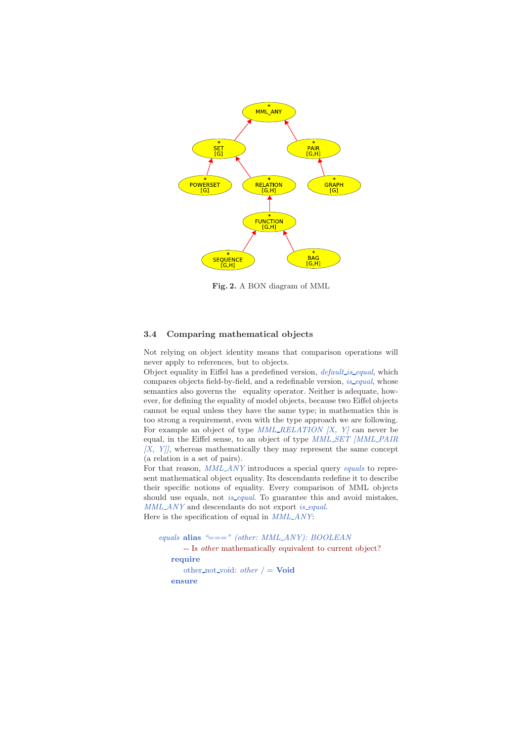

Fig. 2. A BON diagram of MML

## 3.4 Comparing mathematical objects

Not relying on object identity means that comparison operations will never apply to references, but to objects.

Object equality in Eiffel has a predefined version, *default\_is\_equal*, which compares objects field-by-field, and a redefinable version, *is equal*, whose semantics also governs the equality operator. Neither is adequate, however, for defining the equality of model objects, because two Eiffel objects cannot be equal unless they have the same type; in mathematics this is too strong a requirement, even with the type approach we are following. For example an object of type  $MML$  RELATION  $[X, Y]$  can never be equal, in the Eiffel sense, to an object of type  $MML\_SET$  [MML\_PAIR  $[X, Y]$ , whereas mathematically they may represent the same concept (a relation is a set of pairs).

For that reason,  $MML_ANY$  introduces a special query equals to represent mathematical object equality. Its descendants redefine it to describe their specific notions of equality. Every comparison of MML objects should use equals, not is equal. To guarantee this and avoid mistakes,  $MML$ <sub>A</sub> $NY$  and descendants do not export *is*\_equal. Here is the specification of equal in  $MML\_ANY$ :

```
equals alias "==" (other: MML_ANY): BOOLEAN
      -- Is other mathematically equivalent to current object?
  require
      other not void: other / = Void
   ensure
```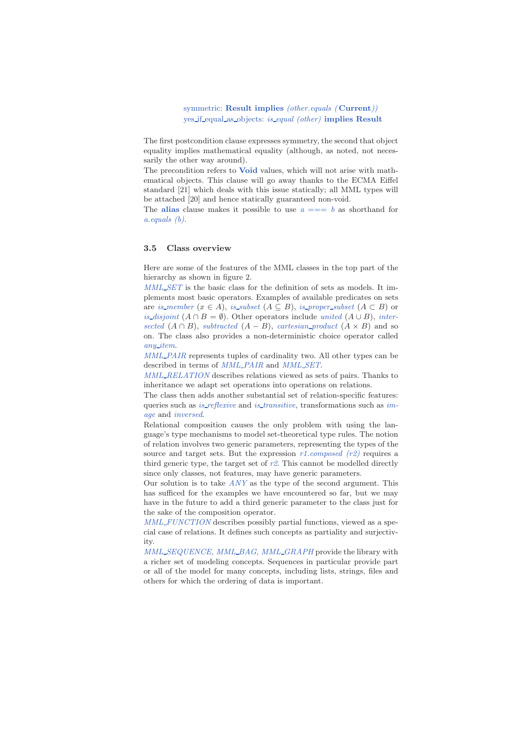symmetric: Result implies (other.equals (Current)) yes if equal as objects: is equal (other) implies Result

The first postcondition clause expresses symmetry, the second that object equality implies mathematical equality (although, as noted, not necessarily the other way around).

The precondition refers to Void values, which will not arise with mathematical objects. This clause will go away thanks to the ECMA Eiffel standard [21] which deals with this issue statically; all MML types will be attached [20] and hence statically guaranteed non-void.

The alias clause makes it possible to use  $a == b$  as shorthand for a.equals (b).

### 3.5 Class overview

Here are some of the features of the MML classes in the top part of the hierarchy as shown in figure 2.

MML SET is the basic class for the definition of sets as models. It implements most basic operators. Examples of available predicates on sets are is\_member  $(x \in A)$ , is\_subset  $(A \subseteq B)$ , is\_proper\_subset  $(A \subset B)$  or is disjoint  $(A \cap B = \emptyset)$ . Other operators include united  $(A \cup B)$ , intersected  $(A \cap B)$ , subtracted  $(A - B)$ , cartesian product  $(A \times B)$  and so on. The class also provides a non-deterministic choice operator called any item.

MML PAIR represents tuples of cardinality two. All other types can be described in terms of  $MML\_PAIR$  and  $MML\_SET$ .

MML RELATION describes relations viewed as sets of pairs. Thanks to inheritance we adapt set operations into operations on relations.

The class then adds another substantial set of relation-specific features: queries such as *is\_reflexive* and *is\_transitive*, transformations such as *im*age and inversed.

Relational composition causes the only problem with using the language's type mechanisms to model set-theoretical type rules. The notion of relation involves two generic parameters, representing the types of the source and target sets. But the expression  $r1$  composed  $(r2)$  requires a third generic type, the target set of  $r\mathcal{Z}$ . This cannot be modelled directly since only classes, not features, may have generic parameters.

Our solution is to take  $ANY$  as the type of the second argument. This has sufficed for the examples we have encountered so far, but we may have in the future to add a third generic parameter to the class just for the sake of the composition operator.

MML FUNCTION describes possibly partial functions, viewed as a special case of relations. It defines such concepts as partiality and surjectivity.

MML\_SEQUENCE, MML\_BAG, MML\_GRAPH provide the library with a richer set of modeling concepts. Sequences in particular provide part or all of the model for many concepts, including lists, strings, files and others for which the ordering of data is important.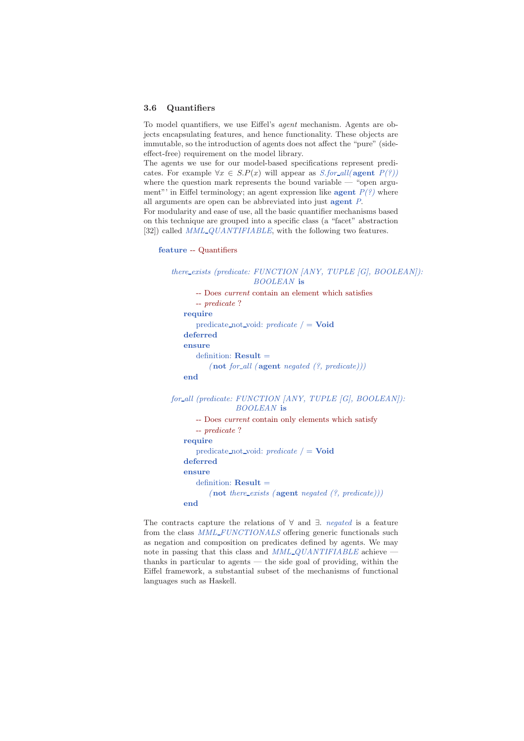#### 3.6 Quantifiers

To model quantifiers, we use Eiffel's agent mechanism. Agents are objects encapsulating features, and hence functionality. These objects are immutable, so the introduction of agents does not affect the "pure" (sideeffect-free) requirement on the model library.

The agents we use for our model-based specifications represent predicates. For example  $\forall x \in S.P(x)$  will appear as  $S.$  for all (agent  $P(?)$ ) where the question mark represents the bound variable  $-$  "open argument"' in Eiffel terminology; an agent expression like **agent**  $P(\ell)$  where all arguments are open can be abbreviated into just agent P.

For modularity and ease of use, all the basic quantifier mechanisms based on this technique are grouped into a specific class (a "facet" abstraction [32]) called *MML\_QUANTIFIABLE*, with the following two features.

### feature -- Quantifiers

```
there_exists (predicate: FUNCTION [ANY, TUPLE | G], BOOLEAN]):
                    BOOLEAN is
```
-- Does current contain an element which satisfies -- predicate ? require predicate\_not\_void:  $predicate / =$  Void deferred ensure definition:  $Result =$ (not for\_all ( $agent$  negated  $(?,$  predicate))) end

for all (predicate: FUNCTION [ANY, TUPLE [G], BOOLEAN]): BOOLEAN is

```
-- Does current contain only elements which satisfy
   -- predicate ?
require
   predicate_not_void: predicate / =Void
deferred
ensure
   definition: Result =(not there_exists (agent negated (?, predicate)))
end
```
The contracts capture the relations of  $\forall$  and  $\exists$ . *negated* is a feature from the class  $MML-FUNCTIONALS$  offering generic functionals such as negation and composition on predicates defined by agents. We may note in passing that this class and  $MML\_QUANTIFIABLE$  achieve thanks in particular to agents — the side goal of providing, within the Eiffel framework, a substantial subset of the mechanisms of functional languages such as Haskell.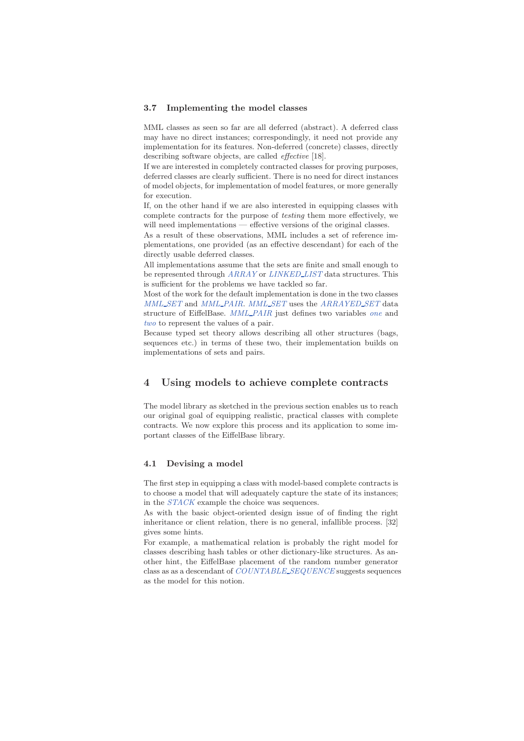#### 3.7 Implementing the model classes

MML classes as seen so far are all deferred (abstract). A deferred class may have no direct instances; correspondingly, it need not provide any implementation for its features. Non-deferred (concrete) classes, directly describing software objects, are called effective [18].

If we are interested in completely contracted classes for proving purposes, deferred classes are clearly sufficient. There is no need for direct instances of model objects, for implementation of model features, or more generally for execution.

If, on the other hand if we are also interested in equipping classes with complete contracts for the purpose of testing them more effectively, we will need implementations — effective versions of the original classes.

As a result of these observations, MML includes a set of reference implementations, one provided (as an effective descendant) for each of the directly usable deferred classes.

All implementations assume that the sets are finite and small enough to be represented through ARRAY or LINKED LIST data structures. This is sufficient for the problems we have tackled so far.

Most of the work for the default implementation is done in the two classes MML\_SET and MML\_PAIR. MML\_SET uses the ARRAYED\_SET data structure of EiffelBase.  $MML$ -PAIR just defines two variables one and two to represent the values of a pair.

Because typed set theory allows describing all other structures (bags, sequences etc.) in terms of these two, their implementation builds on implementations of sets and pairs.

## 4 Using models to achieve complete contracts

The model library as sketched in the previous section enables us to reach our original goal of equipping realistic, practical classes with complete contracts. We now explore this process and its application to some important classes of the EiffelBase library.

#### 4.1 Devising a model

The first step in equipping a class with model-based complete contracts is to choose a model that will adequately capture the state of its instances; in the STACK example the choice was sequences.

As with the basic object-oriented design issue of of finding the right inheritance or client relation, there is no general, infallible process. [32] gives some hints.

For example, a mathematical relation is probably the right model for classes describing hash tables or other dictionary-like structures. As another hint, the EiffelBase placement of the random number generator class as as a descendant of COUNTABLE SEQUENCE suggests sequences as the model for this notion.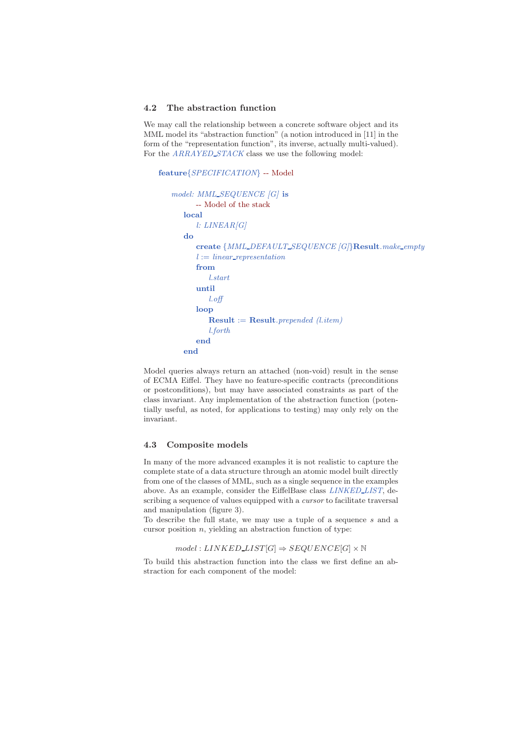#### 4.2 The abstraction function

We may call the relationship between a concrete software object and its MML model its "abstraction function" (a notion introduced in [11] in the form of the "representation function", its inverse, actually multi-valued). For the  $ARRAYED\_STACK$  class we use the following model:

```
feature{SPECIFICATION} -- Model
```

```
model: MML_SEQUENCE [G] is
     -- Model of the stack
  local
     l: LINEAR[G]
  do
     create {MML DEFAULT SEQUENCE [G]}Result.make empty
     l := linear\_representationfrom
        l. start
     until
        l.off
     loop

        l.forth
     end
  end
```
Model queries always return an attached (non-void) result in the sense of ECMA Eiffel. They have no feature-specific contracts (preconditions or postconditions), but may have associated constraints as part of the class invariant. Any implementation of the abstraction function (potentially useful, as noted, for applications to testing) may only rely on the invariant.

#### 4.3 Composite models

In many of the more advanced examples it is not realistic to capture the complete state of a data structure through an atomic model built directly from one of the classes of MML, such as a single sequence in the examples above. As an example, consider the EiffelBase class LINKED LIST, describing a sequence of values equipped with a cursor to facilitate traversal and manipulation (figure 3).

To describe the full state, we may use a tuple of a sequence s and a cursor position  $n$ , yielding an abstraction function of type:

 $model: LINKED\_LIST[G] \Rightarrow SEQUENCE[G] \times \mathbb{N}$ 

To build this abstraction function into the class we first define an abstraction for each component of the model: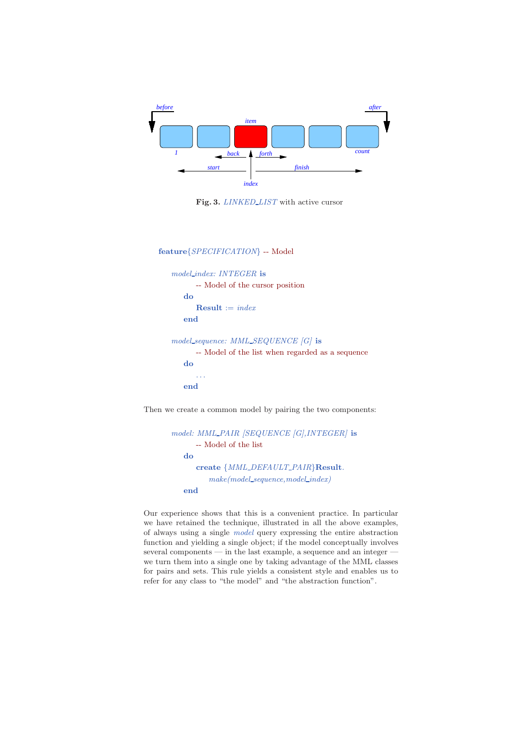

Fig. 3. LINKED\_LIST with active cursor

feature{SPECIFICATION} -- Model

```
model index: INTEGER is
     -- Model of the cursor position
  do

  end
model_sequence: MML_SEQUENCE [G] is
     -- Model of the list when regarded as a sequence
  do
      . . .
  end
```
Then we create a common model by pairing the two components:

```
model: MML PAIR [SEQUENCE [G],INTEGER] is
      -- Model of the list
  do
      create {MML DEFAULT PAIR}Result.
         make(model\_sequence, model\_index)end
```
Our experience shows that this is a convenient practice. In particular we have retained the technique, illustrated in all the above examples, of always using a single model query expressing the entire abstraction function and yielding a single object; if the model conceptually involves several components — in the last example, a sequence and an integer we turn them into a single one by taking advantage of the MML classes for pairs and sets. This rule yields a consistent style and enables us to refer for any class to "the model" and "the abstraction function".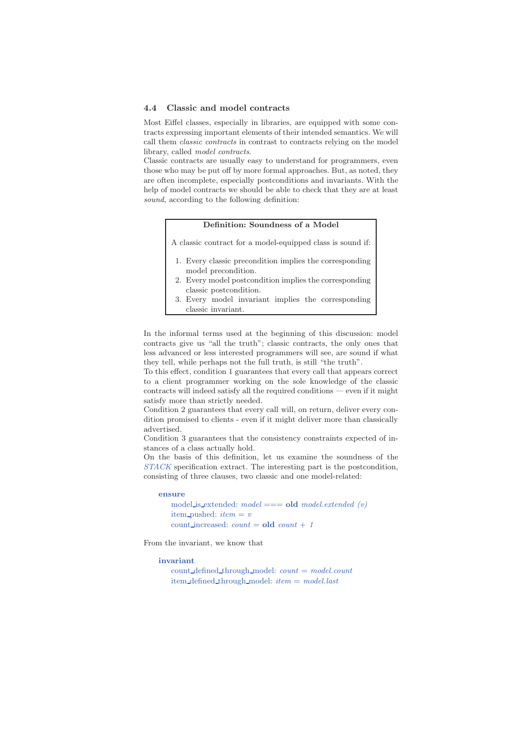#### 4.4 Classic and model contracts

Most Eiffel classes, especially in libraries, are equipped with some contracts expressing important elements of their intended semantics. We will call them classic contracts in contrast to contracts relying on the model library, called model contracts.

Classic contracts are usually easy to understand for programmers, even those who may be put off by more formal approaches. But, as noted, they are often incomplete, especially postconditions and invariants. With the help of model contracts we should be able to check that they are at least sound, according to the following definition:

#### Definition: Soundness of a Model

A classic contract for a model-equipped class is sound if:

- 1. Every classic precondition implies the corresponding model precondition.
- 2. Every model postcondition implies the corresponding classic postcondition.
- 3. Every model invariant implies the corresponding classic invariant.

In the informal terms used at the beginning of this discussion: model contracts give us "all the truth"; classic contracts, the only ones that less advanced or less interested programmers will see, are sound if what they tell, while perhaps not the full truth, is still "the truth".

To this effect, condition 1 guarantees that every call that appears correct to a client programmer working on the sole knowledge of the classic contracts will indeed satisfy all the required conditions — even if it might satisfy more than strictly needed.

Condition 2 guarantees that every call will, on return, deliver every condition promised to clients - even if it might deliver more than classically advertised.

Condition 3 guarantees that the consistency constraints expected of instances of a class actually hold.

On the basis of this definition, let us examine the soundness of the STACK specification extract. The interesting part is the postcondition, consisting of three clauses, two classic and one model-related:

#### ensure

model is extended:  $model ==$  old model. extended (v) item\_pushed:  $item = v$ count increased:  $count = old$  count + 1

From the invariant, we know that

#### invariant

 $count\_defined\_through\_model: count = model.count$ item\_defined\_through\_model:  $item = model last$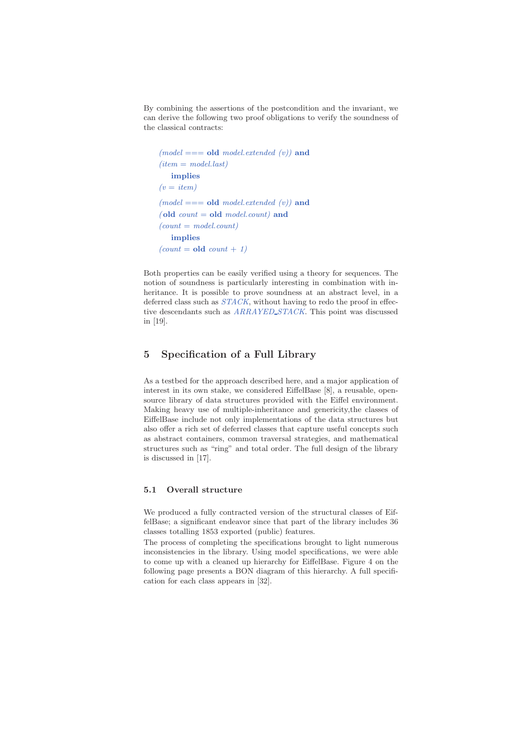By combining the assertions of the postcondition and the invariant, we can derive the following two proof obligations to verify the soundness of the classical contracts:

```
(mod \ell === old model.extended (v) and
item = model last)implies
(v = item)(mod \ell === old model.extended (v) and
(old count = old model.count) and
\text{(count = model.count)}implies
\text{(count = old count + 1)}
```
Both properties can be easily verified using a theory for sequences. The notion of soundness is particularly interesting in combination with inheritance. It is possible to prove soundness at an abstract level, in a deferred class such as  $STACK$ , without having to redo the proof in effective descendants such as ARRAYED STACK. This point was discussed in [19].

## 5 Specification of a Full Library

As a testbed for the approach described here, and a major application of interest in its own stake, we considered EiffelBase [8], a reusable, opensource library of data structures provided with the Eiffel environment. Making heavy use of multiple-inheritance and genericity,the classes of EiffelBase include not only implementations of the data structures but also offer a rich set of deferred classes that capture useful concepts such as abstract containers, common traversal strategies, and mathematical structures such as "ring" and total order. The full design of the library is discussed in [17].

## 5.1 Overall structure

We produced a fully contracted version of the structural classes of EiffelBase; a significant endeavor since that part of the library includes 36 classes totalling 1853 exported (public) features.

The process of completing the specifications brought to light numerous inconsistencies in the library. Using model specifications, we were able to come up with a cleaned up hierarchy for EiffelBase. Figure 4 on the following page presents a BON diagram of this hierarchy. A full specification for each class appears in [32].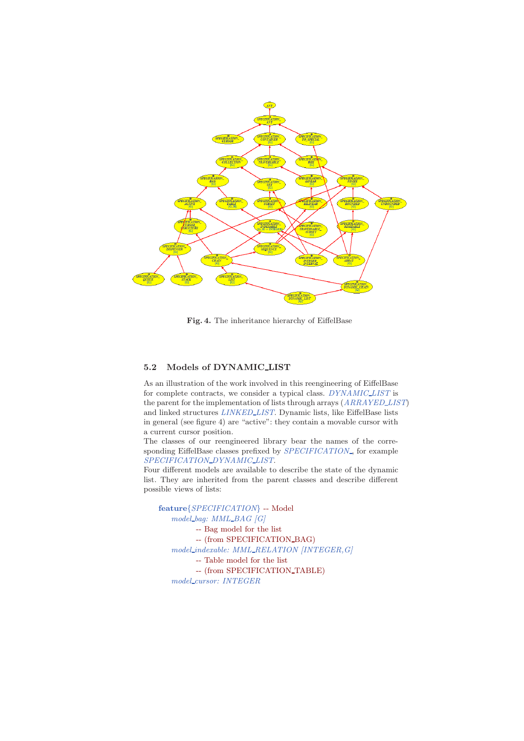

Fig. 4. The inheritance hierarchy of EiffelBase

### 5.2 Models of DYNAMIC LIST

As an illustration of the work involved in this reengineering of EiffelBase for complete contracts, we consider a typical class. DYNAMIC LIST is the parent for the implementation of lists through arrays (ARRAYED\_LIST) and linked structures *LINKED* LIST. Dynamic lists, like EiffelBase lists in general (see figure 4) are "active": they contain a movable cursor with a current cursor position.

The classes of our reengineered library bear the names of the corresponding EiffelBase classes prefixed by SPECIFICATION, for example SPECIFICATION\_DYNAMIC\_LIST.

Four different models are available to describe the state of the dynamic list. They are inherited from the parent classes and describe different possible views of lists:

feature{SPECIFICATION} -- Model model bag: MML BAG [G] -- Bag model for the list -- (from SPECIFICATION\_BAG) model indexable: MML RELATION [INTEGER,G] -- Table model for the list -- (from SPECIFICATION TABLE) model cursor: INTEGER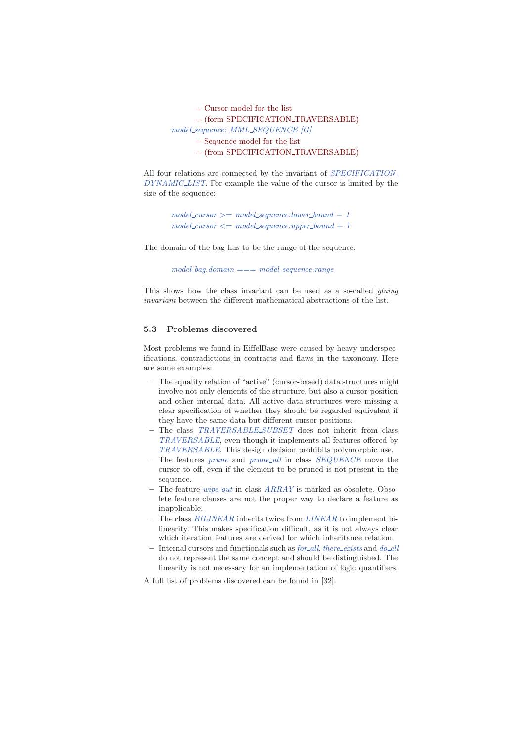-- Cursor model for the list -- (form SPECIFICATION TRAVERSABLE) model\_sequence: MML\_SEQUENCE [G] -- Sequence model for the list -- (from SPECIFICATION\_TRAVERSABLE)

All four relations are connected by the invariant of *SPECIFICATION* DYNAMIC\_LIST. For example the value of the cursor is limited by the size of the sequence:

> $model\_cursor \geq model\_sequence.lower\_bound - 1$  $model\_cursor \leq model\_sequence.upper\_bound + 1$

The domain of the bag has to be the range of the sequence:

 $model\_baq.domain == model\_sequence.random$ 

This shows how the class invariant can be used as a so-called *gluing* invariant between the different mathematical abstractions of the list.

#### 5.3 Problems discovered

Most problems we found in EiffelBase were caused by heavy underspecifications, contradictions in contracts and flaws in the taxonomy. Here are some examples:

- The equality relation of "active" (cursor-based) data structures might involve not only elements of the structure, but also a cursor position and other internal data. All active data structures were missing a clear specification of whether they should be regarded equivalent if they have the same data but different cursor positions.
- The class TRAVERSABLE SUBSET does not inherit from class TRAVERSABLE, even though it implements all features offered by TRAVERSABLE. This design decision prohibits polymorphic use.
- The features prune and prune all in class SEQUENCE move the cursor to off, even if the element to be pruned is not present in the sequence.
- The feature  $wipe\_out$  in class  $ARRAY$  is marked as obsolete. Obsolete feature clauses are not the proper way to declare a feature as inapplicable.
- The class **BILINEAR** inherits twice from **LINEAR** to implement bilinearity. This makes specification difficult, as it is not always clear which iteration features are derived for which inheritance relation.
- Internal cursors and functionals such as *for\_all, there\_exists* and *do\_all* do not represent the same concept and should be distinguished. The linearity is not necessary for an implementation of logic quantifiers.

A full list of problems discovered can be found in [32].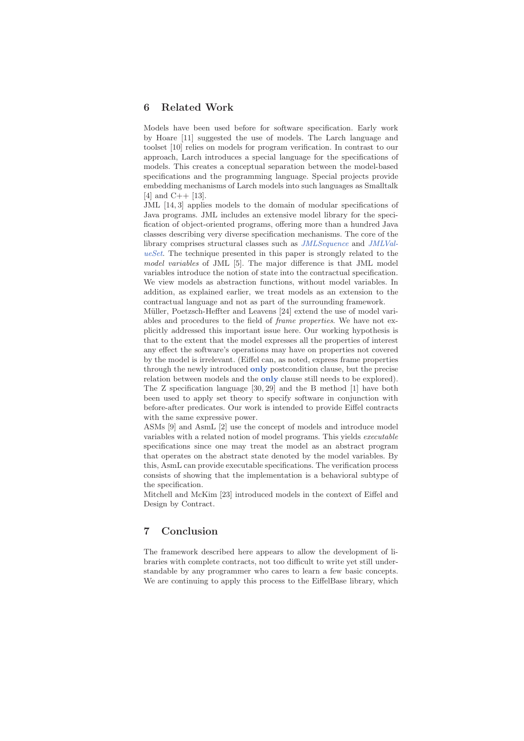## 6 Related Work

Models have been used before for software specification. Early work by Hoare [11] suggested the use of models. The Larch language and toolset [10] relies on models for program verification. In contrast to our approach, Larch introduces a special language for the specifications of models. This creates a conceptual separation between the model-based specifications and the programming language. Special projects provide embedding mechanisms of Larch models into such languages as Smalltalk [4] and C++ [13].

JML [14, 3] applies models to the domain of modular specifications of Java programs. JML includes an extensive model library for the specification of object-oriented programs, offering more than a hundred Java classes describing very diverse specification mechanisms. The core of the library comprises structural classes such as JMLSequence and JMLValueSet. The technique presented in this paper is strongly related to the model variables of JML [5]. The major difference is that JML model variables introduce the notion of state into the contractual specification. We view models as abstraction functions, without model variables. In addition, as explained earlier, we treat models as an extension to the contractual language and not as part of the surrounding framework.

Müller, Poetzsch-Heffter and Leavens [24] extend the use of model variables and procedures to the field of frame properties. We have not explicitly addressed this important issue here. Our working hypothesis is that to the extent that the model expresses all the properties of interest any effect the software's operations may have on properties not covered by the model is irrelevant. (Eiffel can, as noted, express frame properties through the newly introduced only postcondition clause, but the precise relation between models and the only clause still needs to be explored). The Z specification language [30, 29] and the B method [1] have both been used to apply set theory to specify software in conjunction with before-after predicates. Our work is intended to provide Eiffel contracts with the same expressive power.

ASMs [9] and AsmL [2] use the concept of models and introduce model variables with a related notion of model programs. This yields executable specifications since one may treat the model as an abstract program that operates on the abstract state denoted by the model variables. By this, AsmL can provide executable specifications. The verification process consists of showing that the implementation is a behavioral subtype of the specification.

Mitchell and McKim [23] introduced models in the context of Eiffel and Design by Contract.

## 7 Conclusion

The framework described here appears to allow the development of libraries with complete contracts, not too difficult to write yet still understandable by any programmer who cares to learn a few basic concepts. We are continuing to apply this process to the EiffelBase library, which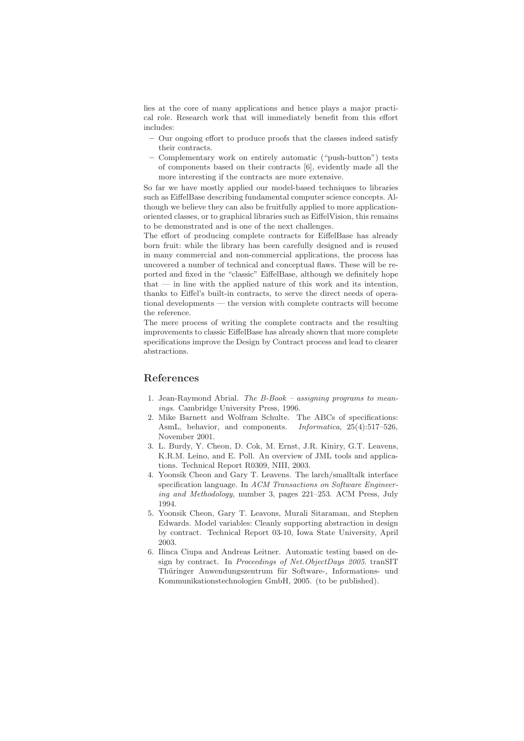lies at the core of many applications and hence plays a major practical role. Research work that will immediately benefit from this effort includes:

- Our ongoing effort to produce proofs that the classes indeed satisfy their contracts.
- Complementary work on entirely automatic ("push-button") tests of components based on their contracts [6], evidently made all the more interesting if the contracts are more extensive.

So far we have mostly applied our model-based techniques to libraries such as EiffelBase describing fundamental computer science concepts. Although we believe they can also be fruitfully applied to more applicationoriented classes, or to graphical libraries such as EiffelVision, this remains to be demonstrated and is one of the next challenges.

The effort of producing complete contracts for EiffelBase has already born fruit: while the library has been carefully designed and is reused in many commercial and non-commercial applications, the process has uncovered a number of technical and conceptual flaws. These will be reported and fixed in the "classic" EiffelBase, although we definitely hope that — in line with the applied nature of this work and its intention, thanks to Eiffel's built-in contracts, to serve the direct needs of operational developments — the version with complete contracts will become the reference.

The mere process of writing the complete contracts and the resulting improvements to classic EiffelBase has already shown that more complete specifications improve the Design by Contract process and lead to clearer abstractions.

## References

- 1. Jean-Raymond Abrial. The B-Book assigning programs to meanings. Cambridge University Press, 1996.
- 2. Mike Barnett and Wolfram Schulte. The ABCs of specifications: AsmL, behavior, and components. *Informatica*, 25(4):517-526, November 2001.
- 3. L. Burdy, Y. Cheon, D. Cok, M. Ernst, J.R. Kiniry, G.T. Leavens, K.R.M. Leino, and E. Poll. An overview of JML tools and applications. Technical Report R0309, NIII, 2003.
- 4. Yoonsik Cheon and Gary T. Leavens. The larch/smalltalk interface specification language. In ACM Transactions on Software Engineering and Methodology, number 3, pages 221–253. ACM Press, July 1994.
- 5. Yoonsik Cheon, Gary T. Leavons, Murali Sitaraman, and Stephen Edwards. Model variables: Cleanly supporting abstraction in design by contract. Technical Report 03-10, Iowa State University, April 2003.
- 6. Ilinca Ciupa and Andreas Leitner. Automatic testing based on design by contract. In Proceedings of Net.ObjectDays 2005. tranSIT Thüringer Anwendungszentrum für Software-, Informations- und Kommunikationstechnologien GmbH, 2005. (to be published).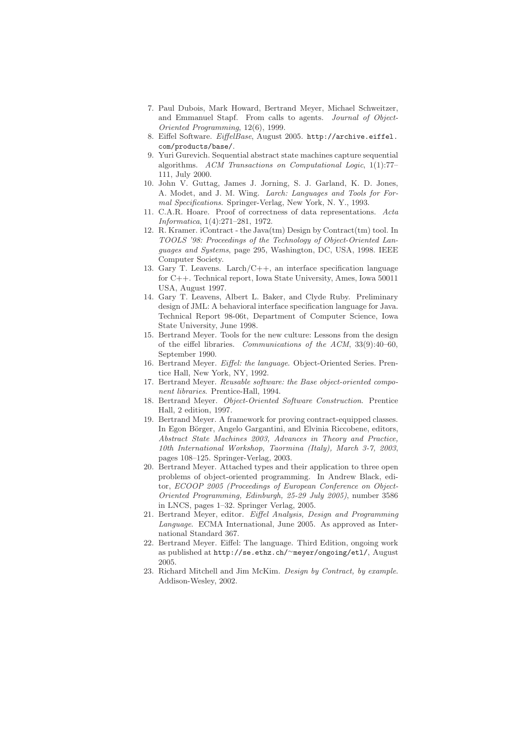- 7. Paul Dubois, Mark Howard, Bertrand Meyer, Michael Schweitzer, and Emmanuel Stapf. From calls to agents. Journal of Object-Oriented Programming, 12(6), 1999.
- 8. Eiffel Software. EiffelBase, August 2005. http://archive.eiffel. com/products/base/.
- 9. Yuri Gurevich. Sequential abstract state machines capture sequential algorithms. ACM Transactions on Computational Logic, 1(1):77– 111, July 2000.
- 10. John V. Guttag, James J. Jorning, S. J. Garland, K. D. Jones, A. Modet, and J. M. Wing. Larch: Languages and Tools for Formal Specifications. Springer-Verlag, New York, N. Y., 1993.
- 11. C.A.R. Hoare. Proof of correctness of data representations. Acta Informatica, 1(4):271–281, 1972.
- 12. R. Kramer. iContract the Java(tm) Design by Contract(tm) tool. In TOOLS '98: Proceedings of the Technology of Object-Oriented Languages and Systems, page 295, Washington, DC, USA, 1998. IEEE Computer Society.
- 13. Gary T. Leavens. Larch/C++, an interface specification language for C++. Technical report, Iowa State University, Ames, Iowa 50011 USA, August 1997.
- 14. Gary T. Leavens, Albert L. Baker, and Clyde Ruby. Preliminary design of JML: A behavioral interface specification language for Java. Technical Report 98-06t, Department of Computer Science, Iowa State University, June 1998.
- 15. Bertrand Meyer. Tools for the new culture: Lessons from the design of the eiffel libraries. Communications of the ACM, 33(9):40–60, September 1990.
- 16. Bertrand Meyer. Eiffel: the language. Object-Oriented Series. Prentice Hall, New York, NY, 1992.
- 17. Bertrand Meyer. Reusable software: the Base object-oriented component libraries. Prentice-Hall, 1994.
- 18. Bertrand Meyer. Object-Oriented Software Construction. Prentice Hall, 2 edition, 1997.
- 19. Bertrand Meyer. A framework for proving contract-equipped classes. In Egon Börger, Angelo Gargantini, and Elvinia Riccobene, editors, Abstract State Machines 2003, Advances in Theory and Practice, 10th International Workshop, Taormina (Italy), March 3-7, 2003, pages 108–125. Springer-Verlag, 2003.
- 20. Bertrand Meyer. Attached types and their application to three open problems of object-oriented programming. In Andrew Black, editor, ECOOP 2005 (Proceedings of European Conference on Object-Oriented Programming, Edinburgh, 25-29 July 2005), number 3586 in LNCS, pages 1–32. Springer Verlag, 2005.
- 21. Bertrand Meyer, editor. Eiffel Analysis, Design and Programming Language. ECMA International, June 2005. As approved as International Standard 367.
- 22. Bertrand Meyer. Eiffel: The language. Third Edition, ongoing work as published at http://se.ethz.ch/<sup>∼</sup>meyer/ongoing/etl/, August 2005.
- 23. Richard Mitchell and Jim McKim. Design by Contract, by example. Addison-Wesley, 2002.